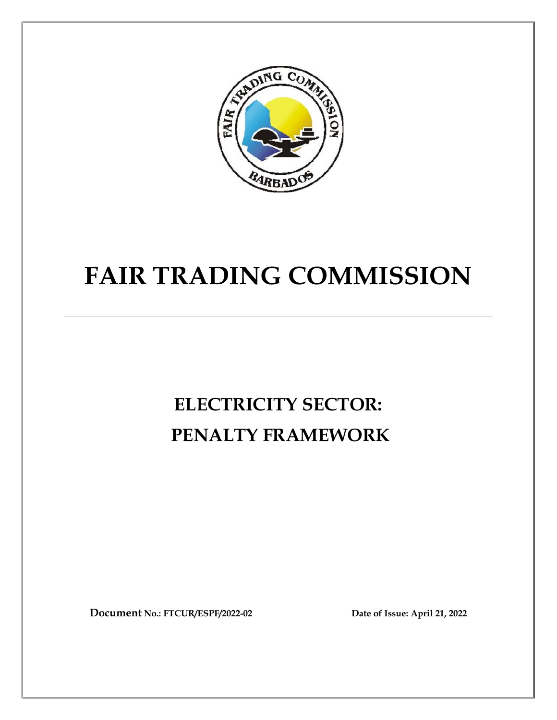

# **FAIR TRADING COMMISSION**

# **ELECTRICITY SECTOR: PENALTY FRAMEWORK**

**Document No.: FTCUR/ESPF/2022-02 Date of Issue: April 21, 2022**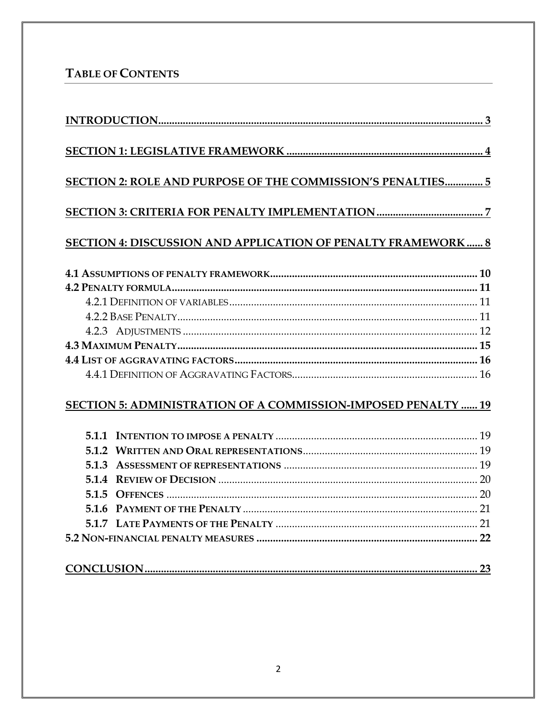# TABLE OF CONTENTS

| SECTION 2: ROLE AND PURPOSE OF THE COMMISSION'S PENALTIES 5         |  |
|---------------------------------------------------------------------|--|
|                                                                     |  |
| <b>SECTION 4: DISCUSSION AND APPLICATION OF PENALTY FRAMEWORK 8</b> |  |
|                                                                     |  |
|                                                                     |  |
|                                                                     |  |
|                                                                     |  |
|                                                                     |  |
|                                                                     |  |
|                                                                     |  |
|                                                                     |  |
| SECTION 5: ADMINISTRATION OF A COMMISSION-IMPOSED PENALTY  19       |  |
|                                                                     |  |
|                                                                     |  |
|                                                                     |  |
|                                                                     |  |
|                                                                     |  |
|                                                                     |  |
|                                                                     |  |
|                                                                     |  |
|                                                                     |  |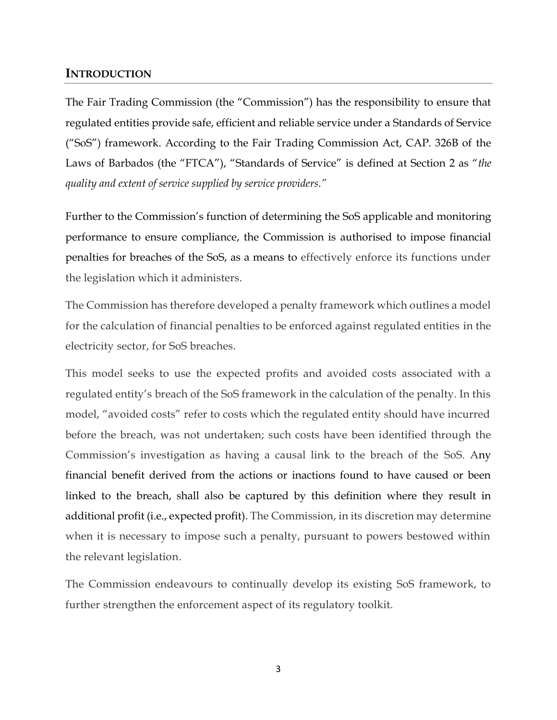## <span id="page-2-0"></span>**INTRODUCTION**

The Fair Trading Commission (the "Commission") has the responsibility to ensure that regulated entities provide safe, efficient and reliable service under a Standards of Service ("SoS") framework. According to the Fair Trading Commission Act, CAP. 326B of the Laws of Barbados (the "FTCA"), "Standards of Service" is defined at Section 2 as "*the quality and extent of service supplied by service providers."* 

Further to the Commission's function of determining the SoS applicable and monitoring performance to ensure compliance, the Commission is authorised to impose financial penalties for breaches of the SoS, as a means to effectively enforce its functions under the legislation which it administers.

The Commission has therefore developed a penalty framework which outlines a model for the calculation of financial penalties to be enforced against regulated entities in the electricity sector, for SoS breaches.

This model seeks to use the expected profits and avoided costs associated with a regulated entity's breach of the SoS framework in the calculation of the penalty. In this model, "avoided costs" refer to costs which the regulated entity should have incurred before the breach, was not undertaken; such costs have been identified through the Commission's investigation as having a causal link to the breach of the SoS. Any financial benefit derived from the actions or inactions found to have caused or been linked to the breach, shall also be captured by this definition where they result in additional profit (i.e., expected profit). The Commission, in its discretion may determine when it is necessary to impose such a penalty, pursuant to powers bestowed within the relevant legislation.

The Commission endeavours to continually develop its existing SoS framework, to further strengthen the enforcement aspect of its regulatory toolkit.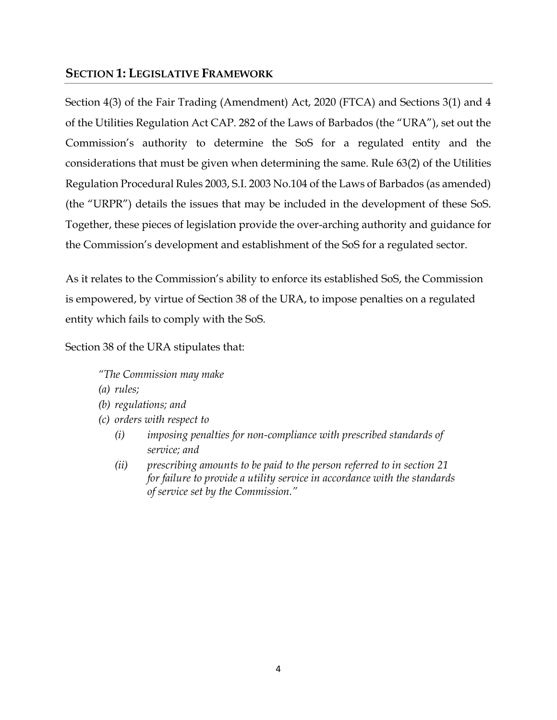# <span id="page-3-0"></span>**SECTION 1: LEGISLATIVE FRAMEWORK**

Section 4(3) of the Fair Trading (Amendment) Act, 2020 (FTCA) and Sections 3(1) and 4 of the Utilities Regulation Act CAP. 282 of the Laws of Barbados (the "URA"), set out the Commission's authority to determine the SoS for a regulated entity and the considerations that must be given when determining the same. Rule 63(2) of the Utilities Regulation Procedural Rules 2003, S.I. 2003 No.104 of the Laws of Barbados (as amended) (the "URPR") details the issues that may be included in the development of these SoS. Together, these pieces of legislation provide the over-arching authority and guidance for the Commission's development and establishment of the SoS for a regulated sector.

As it relates to the Commission's ability to enforce its established SoS, the Commission is empowered, by virtue of Section 38 of the URA, to impose penalties on a regulated entity which fails to comply with the SoS.

Section 38 of the URA stipulates that:

*"The Commission may make*

- *(a) rules;*
- *(b) regulations; and*
- *(c) orders with respect to* 
	- *(i) imposing penalties for non-compliance with prescribed standards of service; and*
	- *(ii) prescribing amounts to be paid to the person referred to in section 21 for failure to provide a utility service in accordance with the standards of service set by the Commission."*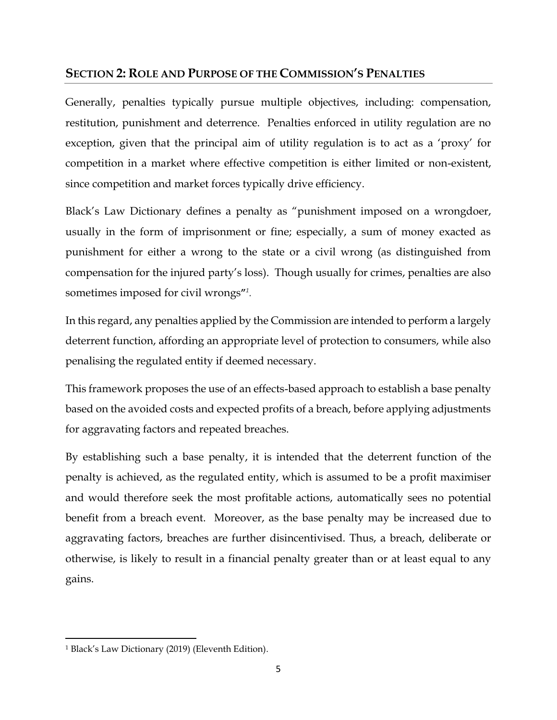# <span id="page-4-0"></span>**SECTION 2: ROLE AND PURPOSE OF THE COMMISSION'S PENALTIES**

Generally, penalties typically pursue multiple objectives, including: compensation, restitution, punishment and deterrence. Penalties enforced in utility regulation are no exception, given that the principal aim of utility regulation is to act as a 'proxy' for competition in a market where effective competition is either limited or non-existent, since competition and market forces typically drive efficiency.

Black's Law Dictionary defines a penalty as "punishment imposed on a wrongdoer, usually in the form of imprisonment or fine; especially, a sum of money exacted as punishment for either a wrong to the state or a civil wrong (as distinguished from compensation for the injured party's loss). Though usually for crimes, penalties are also sometimes imposed for civil wrongs**"** *1 .* 

In this regard, any penalties applied by the Commission are intended to perform a largely deterrent function, affording an appropriate level of protection to consumers, while also penalising the regulated entity if deemed necessary.

This framework proposes the use of an effects-based approach to establish a base penalty based on the avoided costs and expected profits of a breach, before applying adjustments for aggravating factors and repeated breaches.

By establishing such a base penalty, it is intended that the deterrent function of the penalty is achieved, as the regulated entity, which is assumed to be a profit maximiser and would therefore seek the most profitable actions, automatically sees no potential benefit from a breach event. Moreover, as the base penalty may be increased due to aggravating factors, breaches are further disincentivised. Thus, a breach, deliberate or otherwise, is likely to result in a financial penalty greater than or at least equal to any gains.

l

<sup>1</sup> Black's Law Dictionary (2019) (Eleventh Edition).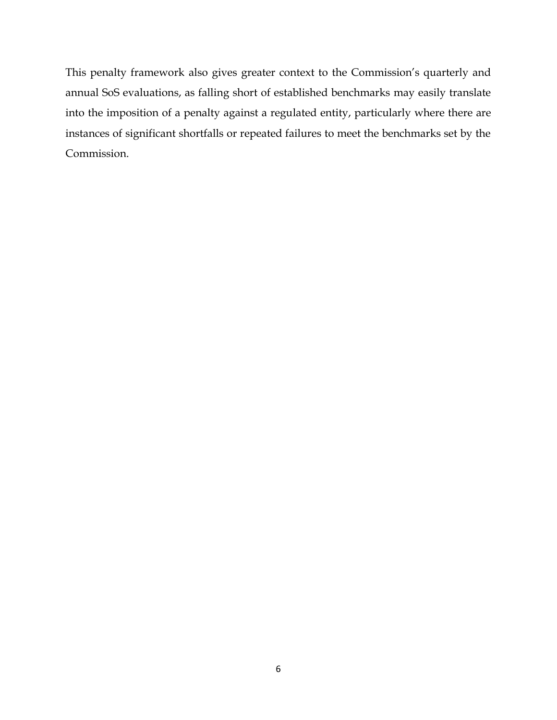This penalty framework also gives greater context to the Commission's quarterly and annual SoS evaluations, as falling short of established benchmarks may easily translate into the imposition of a penalty against a regulated entity, particularly where there are instances of significant shortfalls or repeated failures to meet the benchmarks set by the Commission.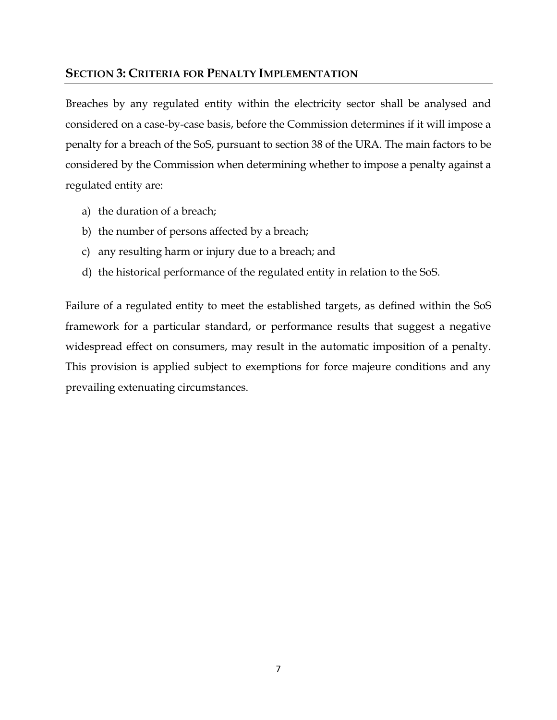## <span id="page-6-0"></span>**SECTION 3: CRITERIA FOR PENALTY IMPLEMENTATION**

Breaches by any regulated entity within the electricity sector shall be analysed and considered on a case-by-case basis, before the Commission determines if it will impose a penalty for a breach of the SoS, pursuant to section 38 of the URA. The main factors to be considered by the Commission when determining whether to impose a penalty against a regulated entity are:

- a) the duration of a breach;
- b) the number of persons affected by a breach;
- c) any resulting harm or injury due to a breach; and
- d) the historical performance of the regulated entity in relation to the SoS.

Failure of a regulated entity to meet the established targets, as defined within the SoS framework for a particular standard, or performance results that suggest a negative widespread effect on consumers, may result in the automatic imposition of a penalty. This provision is applied subject to exemptions for force majeure conditions and any prevailing extenuating circumstances.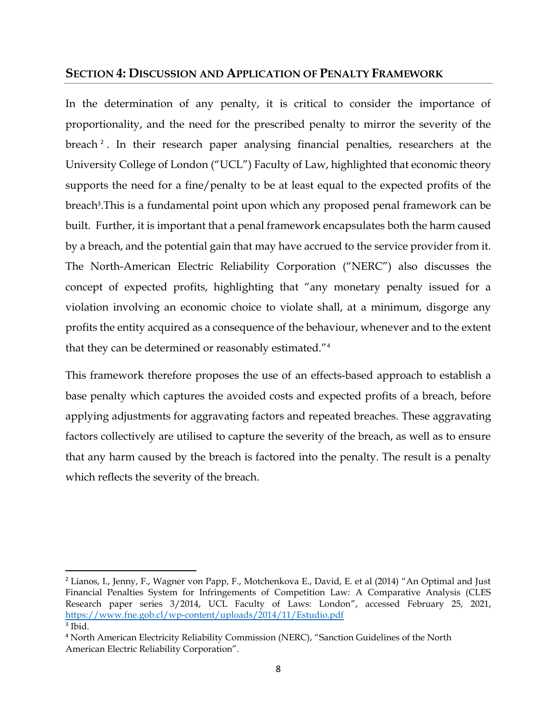## <span id="page-7-0"></span>**SECTION 4: DISCUSSION AND APPLICATION OF PENALTY FRAMEWORK**

In the determination of any penalty, it is critical to consider the importance of proportionality, and the need for the prescribed penalty to mirror the severity of the breach <sup>2</sup> . In their research paper analysing financial penalties, researchers at the University College of London ("UCL") Faculty of Law, highlighted that economic theory supports the need for a fine/penalty to be at least equal to the expected profits of the breach<sup>3</sup>. This is a fundamental point upon which any proposed penal framework can be built. Further, it is important that a penal framework encapsulates both the harm caused by a breach, and the potential gain that may have accrued to the service provider from it. The North-American Electric Reliability Corporation ("NERC") also discusses the concept of expected profits, highlighting that "any monetary penalty issued for a violation involving an economic choice to violate shall, at a minimum, disgorge any profits the entity acquired as a consequence of the behaviour, whenever and to the extent that they can be determined or reasonably estimated."<sup>4</sup>

This framework therefore proposes the use of an effects-based approach to establish a base penalty which captures the avoided costs and expected profits of a breach, before applying adjustments for aggravating factors and repeated breaches. These aggravating factors collectively are utilised to capture the severity of the breach, as well as to ensure that any harm caused by the breach is factored into the penalty. The result is a penalty which reflects the severity of the breach.

 $\overline{\phantom{a}}$ 

<sup>&</sup>lt;sup>2</sup> Lianos, I., Jenny, F., Wagner von Papp, F., Motchenkova E., David, E. et al (2014) "An Optimal and Just Financial Penalties System for Infringements of Competition Law: A Comparative Analysis (CLES Research paper series 3/2014, UCL Faculty of Laws: London", accessed February 25, 2021, <https://www.fne.gob.cl/wp-content/uploads/2014/11/Estudio.pdf> 3 Ibid.

<sup>4</sup> North American Electricity Reliability Commission (NERC), "Sanction Guidelines of the North American Electric Reliability Corporation".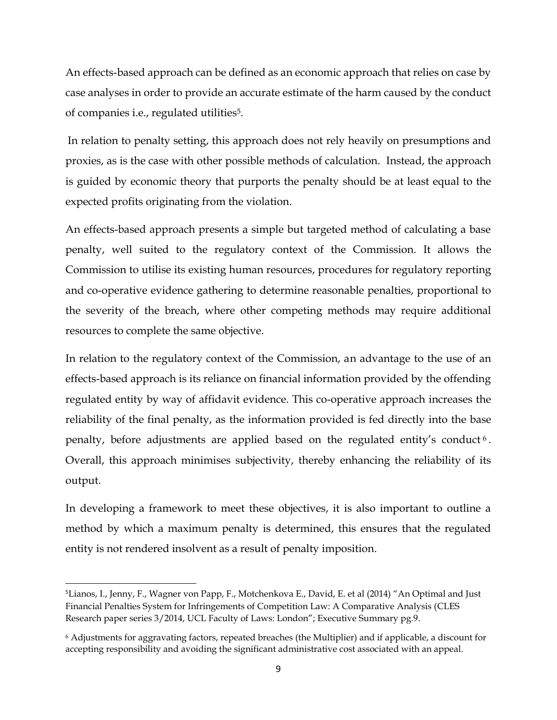An effects-based approach can be defined as an economic approach that relies on case by case analyses in order to provide an accurate estimate of the harm caused by the conduct of companies i.e., regulated utilities5.

In relation to penalty setting, this approach does not rely heavily on presumptions and proxies, as is the case with other possible methods of calculation. Instead, the approach is guided by economic theory that purports the penalty should be at least equal to the expected profits originating from the violation.

An effects-based approach presents a simple but targeted method of calculating a base penalty, well suited to the regulatory context of the Commission. It allows the Commission to utilise its existing human resources, procedures for regulatory reporting and co-operative evidence gathering to determine reasonable penalties, proportional to the severity of the breach, where other competing methods may require additional resources to complete the same objective.

In relation to the regulatory context of the Commission, an advantage to the use of an effects-based approach is its reliance on financial information provided by the offending regulated entity by way of affidavit evidence. This co-operative approach increases the reliability of the final penalty, as the information provided is fed directly into the base penalty, before adjustments are applied based on the regulated entity's conduct <sup>6</sup> . Overall, this approach minimises subjectivity, thereby enhancing the reliability of its output.

In developing a framework to meet these objectives, it is also important to outline a method by which a maximum penalty is determined, this ensures that the regulated entity is not rendered insolvent as a result of penalty imposition.

 $\overline{\phantom{a}}$ 

<sup>5</sup>Lianos, I., Jenny, F., Wagner von Papp, F., Motchenkova E., David, E. et al (2014) "An Optimal and Just Financial Penalties System for Infringements of Competition Law: A Comparative Analysis (CLES Research paper series 3/2014, UCL Faculty of Laws: London"; Executive Summary pg.9.

<sup>6</sup> Adjustments for aggravating factors, repeated breaches (the Multiplier) and if applicable, a discount for accepting responsibility and avoiding the significant administrative cost associated with an appeal.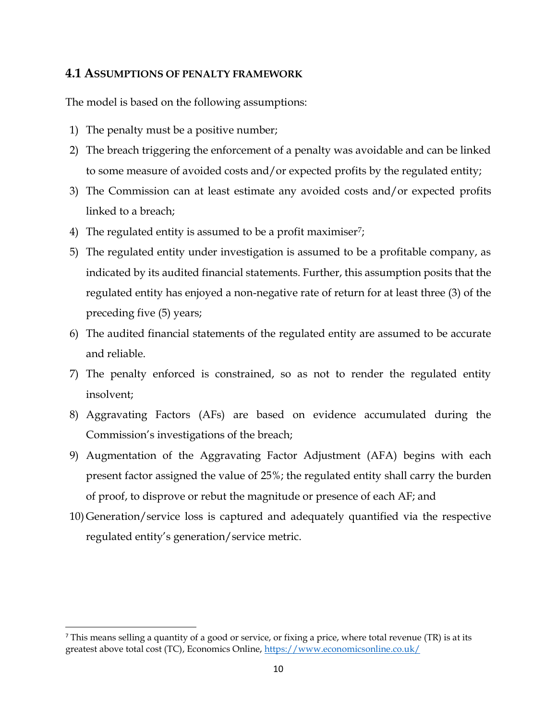## <span id="page-9-0"></span>**4.1 ASSUMPTIONS OF PENALTY FRAMEWORK**

The model is based on the following assumptions:

- 1) The penalty must be a positive number;
- 2) The breach triggering the enforcement of a penalty was avoidable and can be linked to some measure of avoided costs and/or expected profits by the regulated entity;
- 3) The Commission can at least estimate any avoided costs and/or expected profits linked to a breach;
- 4) The regulated entity is assumed to be a profit maximiser<sup>7</sup>;
- 5) The regulated entity under investigation is assumed to be a profitable company, as indicated by its audited financial statements. Further, this assumption posits that the regulated entity has enjoyed a non-negative rate of return for at least three (3) of the preceding five (5) years;
- 6) The audited financial statements of the regulated entity are assumed to be accurate and reliable.
- 7) The penalty enforced is constrained, so as not to render the regulated entity insolvent;
- 8) Aggravating Factors (AFs) are based on evidence accumulated during the Commission's investigations of the breach;
- 9) Augmentation of the Aggravating Factor Adjustment (AFA) begins with each present factor assigned the value of 25%; the regulated entity shall carry the burden of proof, to disprove or rebut the magnitude or presence of each AF; and
- 10) Generation/service loss is captured and adequately quantified via the respective regulated entity's generation/service metric.

l

 $<sup>7</sup>$  This means selling a quantity of a good or service, or fixing a price, where total revenue (TR) is at its</sup> greatest above total cost (TC), Economics Online,<https://www.economicsonline.co.uk/>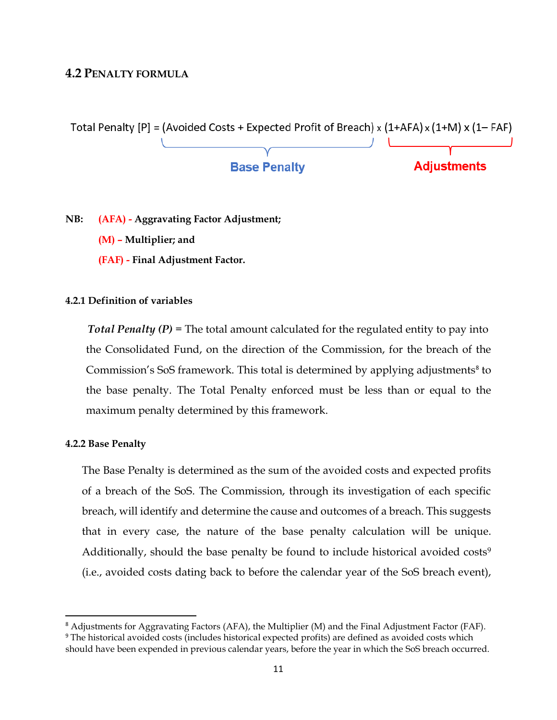## <span id="page-10-0"></span>**4.2 PENALTY FORMULA**



**NB: (AFA) - Aggravating Factor Adjustment; (M) – Multiplier; and (FAF) - Final Adjustment Factor.**

#### <span id="page-10-1"></span>**4.2.1 Definition of variables**

 *Total Penalty (P)* = The total amount calculated for the regulated entity to pay into the Consolidated Fund, on the direction of the Commission, for the breach of the Commission's SoS framework. This total is determined by applying adjustments<sup>8</sup> to the base penalty. The Total Penalty enforced must be less than or equal to the maximum penalty determined by this framework.

#### <span id="page-10-2"></span>**4.2.2 Base Penalty**

 $\overline{a}$ 

The Base Penalty is determined as the sum of the avoided costs and expected profits of a breach of the SoS. The Commission, through its investigation of each specific breach, will identify and determine the cause and outcomes of a breach. This suggests that in every case, the nature of the base penalty calculation will be unique. Additionally, should the base penalty be found to include historical avoided  $costs<sup>9</sup>$ (i.e., avoided costs dating back to before the calendar year of the SoS breach event),

<sup>8</sup> Adjustments for Aggravating Factors (AFA), the Multiplier (M) and the Final Adjustment Factor (FAF). <sup>9</sup> The historical avoided costs (includes historical expected profits) are defined as avoided costs which should have been expended in previous calendar years, before the year in which the SoS breach occurred.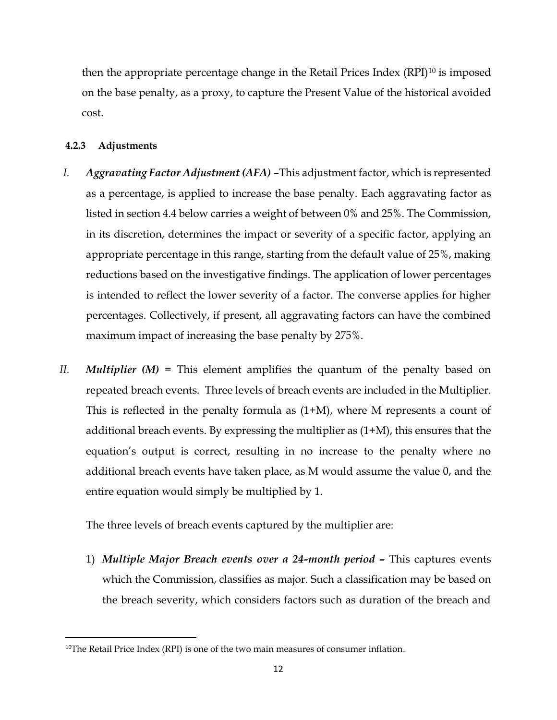then the appropriate percentage change in the Retail Prices Index (RPI)<sup>10</sup> is imposed on the base penalty, as a proxy, to capture the Present Value of the historical avoided cost.

## <span id="page-11-0"></span>**4.2.3 Adjustments**

 $\overline{\phantom{a}}$ 

- *I. Aggravating Factor Adjustment (AFA)* –This adjustment factor, which is represented as a percentage, is applied to increase the base penalty. Each aggravating factor as listed in section 4.4 below carries a weight of between 0% and 25%. The Commission, in its discretion, determines the impact or severity of a specific factor, applying an appropriate percentage in this range, starting from the default value of 25%, making reductions based on the investigative findings. The application of lower percentages is intended to reflect the lower severity of a factor. The converse applies for higher percentages. Collectively, if present, all aggravating factors can have the combined maximum impact of increasing the base penalty by 275%.
- *II. Multiplier (M)* = This element amplifies the quantum of the penalty based on repeated breach events. Three levels of breach events are included in the Multiplier. This is reflected in the penalty formula as (1+M), where M represents a count of additional breach events. By expressing the multiplier as (1+M), this ensures that the equation's output is correct, resulting in no increase to the penalty where no additional breach events have taken place, as M would assume the value 0, and the entire equation would simply be multiplied by 1.

The three levels of breach events captured by the multiplier are:

1) *Multiple Major Breach events over a 24-month period –* This captures events which the Commission, classifies as major. Such a classification may be based on the breach severity, which considers factors such as duration of the breach and

<sup>&</sup>lt;sup>10</sup>The Retail Price Index (RPI) is one of the two main measures of consumer inflation.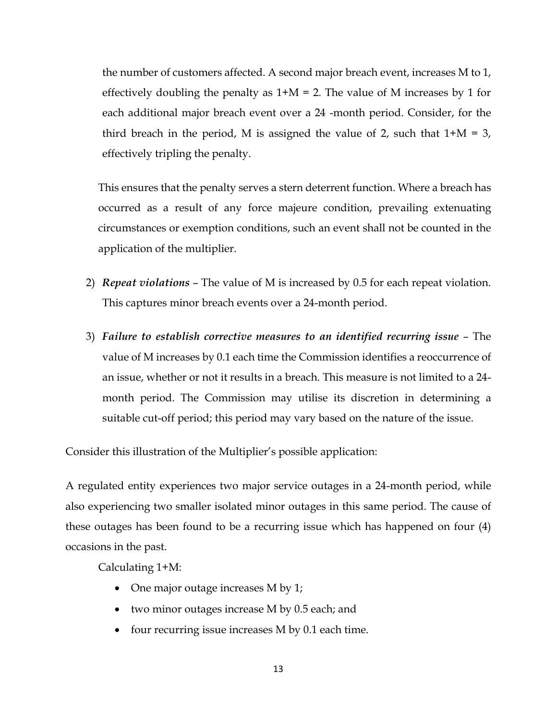the number of customers affected. A second major breach event, increases M to 1, effectively doubling the penalty as  $1+M = 2$ . The value of M increases by 1 for each additional major breach event over a 24 -month period. Consider, for the third breach in the period, M is assigned the value of 2, such that  $1+M = 3$ , effectively tripling the penalty.

This ensures that the penalty serves a stern deterrent function. Where a breach has occurred as a result of any force majeure condition, prevailing extenuating circumstances or exemption conditions, such an event shall not be counted in the application of the multiplier.

- 2) *Repeat violations* The value of M is increased by 0.5 for each repeat violation. This captures minor breach events over a 24-month period.
- 3) *Failure to establish corrective measures to an identified recurring issue* The value of M increases by 0.1 each time the Commission identifies a reoccurrence of an issue, whether or not it results in a breach. This measure is not limited to a 24 month period. The Commission may utilise its discretion in determining a suitable cut-off period; this period may vary based on the nature of the issue.

Consider this illustration of the Multiplier's possible application:

A regulated entity experiences two major service outages in a 24-month period, while also experiencing two smaller isolated minor outages in this same period. The cause of these outages has been found to be a recurring issue which has happened on four (4) occasions in the past.

Calculating 1+M:

- One major outage increases M by 1;
- two minor outages increase M by 0.5 each; and
- four recurring issue increases M by 0.1 each time.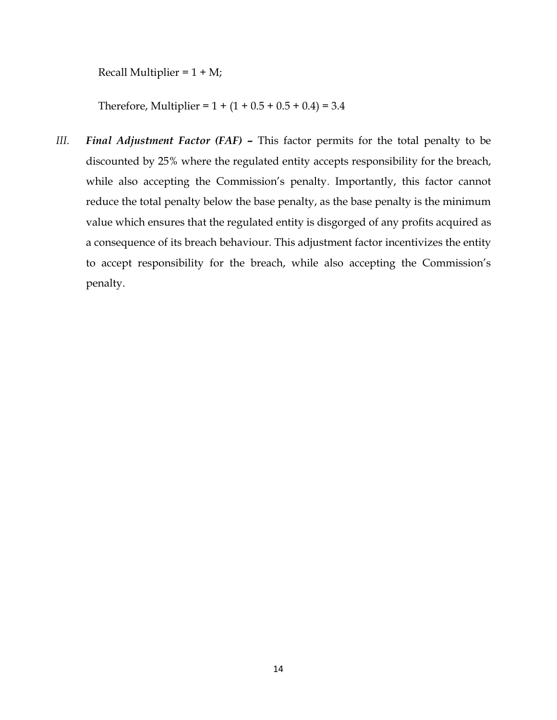Recall Multiplier =  $1 + M$ ;

Therefore, Multiplier =  $1 + (1 + 0.5 + 0.5 + 0.4) = 3.4$ 

*III. Final Adjustment Factor (FAF) - This factor permits for the total penalty to be* discounted by 25% where the regulated entity accepts responsibility for the breach, while also accepting the Commission's penalty. Importantly, this factor cannot reduce the total penalty below the base penalty, as the base penalty is the minimum value which ensures that the regulated entity is disgorged of any profits acquired as a consequence of its breach behaviour. This adjustment factor incentivizes the entity to accept responsibility for the breach, while also accepting the Commission's penalty.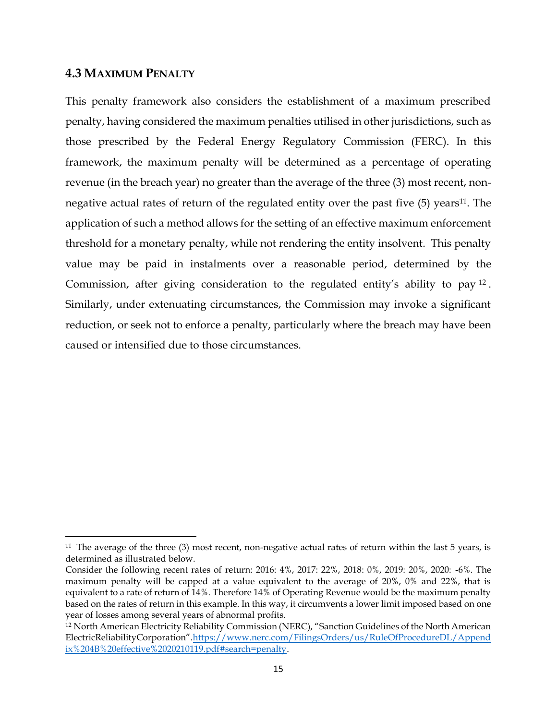## <span id="page-14-0"></span>**4.3 MAXIMUM PENALTY**

 $\overline{a}$ 

This penalty framework also considers the establishment of a maximum prescribed penalty, having considered the maximum penalties utilised in other jurisdictions, such as those prescribed by the Federal Energy Regulatory Commission (FERC). In this framework, the maximum penalty will be determined as a percentage of operating revenue (in the breach year) no greater than the average of the three (3) most recent, nonnegative actual rates of return of the regulated entity over the past five  $(5)$  years<sup>11</sup>. The application of such a method allows for the setting of an effective maximum enforcement threshold for a monetary penalty, while not rendering the entity insolvent. This penalty value may be paid in instalments over a reasonable period, determined by the Commission, after giving consideration to the regulated entity's ability to pay <sup>12</sup> . Similarly, under extenuating circumstances, the Commission may invoke a significant reduction, or seek not to enforce a penalty, particularly where the breach may have been caused or intensified due to those circumstances.

<sup>&</sup>lt;sup>11</sup> The average of the three (3) most recent, non-negative actual rates of return within the last 5 years, is determined as illustrated below.

Consider the following recent rates of return: 2016: 4%, 2017: 22%, 2018: 0%, 2019: 20%, 2020: -6%. The maximum penalty will be capped at a value equivalent to the average of 20%, 0% and 22%, that is equivalent to a rate of return of 14%. Therefore 14% of Operating Revenue would be the maximum penalty based on the rates of return in this example. In this way, it circumvents a lower limit imposed based on one year of losses among several years of abnormal profits.

<sup>12</sup> North American Electricity Reliability Commission (NERC), "Sanction Guidelines of the North American ElectricReliabilityCorporation".[https://www.nerc.com/FilingsOrders/us/RuleOfProcedureDL/Append](https://www.nerc.com/FilingsOrders/us/RuleOfProcedureDL/Appendix%204B%20effective%2020210119.pdf#search=penalty) [ix%204B%20effective%2020210119.pdf#search=penalty.](https://www.nerc.com/FilingsOrders/us/RuleOfProcedureDL/Appendix%204B%20effective%2020210119.pdf#search=penalty)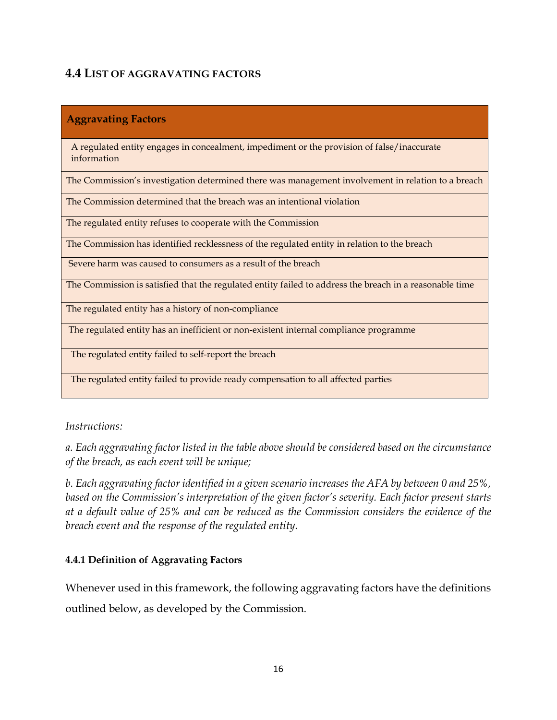# <span id="page-15-0"></span>**4.4 LIST OF AGGRAVATING FACTORS**

## **Aggravating Factors**

A regulated entity engages in concealment, impediment or the provision of false/inaccurate information

The Commission's investigation determined there was management involvement in relation to a breach

The Commission determined that the breach was an intentional violation

The regulated entity refuses to cooperate with the Commission

The Commission has identified recklessness of the regulated entity in relation to the breach

Severe harm was caused to consumers as a result of the breach

The Commission is satisfied that the regulated entity failed to address the breach in a reasonable time

The regulated entity has a history of non-compliance

The regulated entity has an inefficient or non-existent internal compliance programme

The regulated entity failed to self-report the breach

The regulated entity failed to provide ready compensation to all affected parties

*Instructions:*

*a. Each aggravating factor listed in the table above should be considered based on the circumstance of the breach, as each event will be unique;*

*b. Each aggravating factor identified in a given scenario increases the AFA by between 0 and 25%, based on the Commission's interpretation of the given factor's severity. Each factor present starts at a default value of 25% and can be reduced as the Commission considers the evidence of the breach event and the response of the regulated entity.*

## <span id="page-15-1"></span>**4.4.1 Definition of Aggravating Factors**

Whenever used in this framework, the following aggravating factors have the definitions outlined below, as developed by the Commission.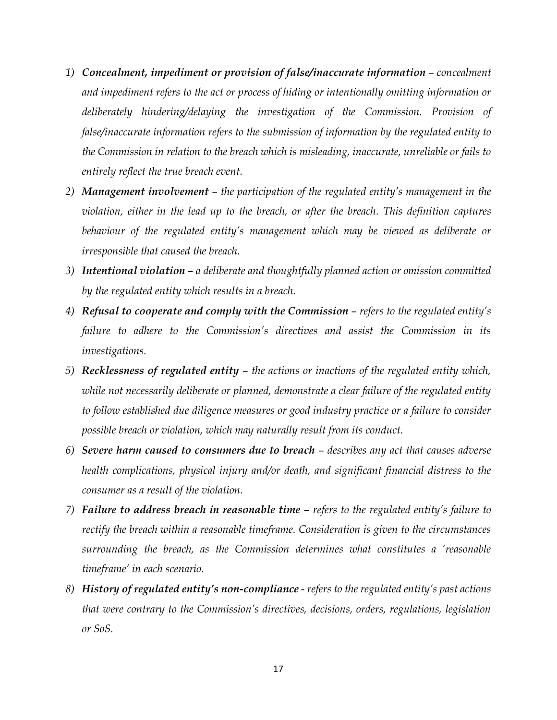- *1) Concealment, impediment or provision of false/inaccurate information concealment and impediment refers to the act or process of hiding or intentionally omitting information or deliberately hindering/delaying the investigation of the Commission. Provision of false/inaccurate information refers to the submission of information by the regulated entity to the Commission in relation to the breach which is misleading, inaccurate, unreliable or fails to entirely reflect the true breach event.*
- *2) Management involvement the participation of the regulated entity's management in the violation, either in the lead up to the breach, or after the breach. This definition captures behaviour of the regulated entity's management which may be viewed as deliberate or irresponsible that caused the breach.*
- *3) Intentional violation a deliberate and thoughtfully planned action or omission committed by the regulated entity which results in a breach.*
- 4) *Refusal to cooperate and comply with the Commission refers to the regulated entity's failure to adhere to the Commission's directives and assist the Commission in its investigations.*
- *5) Recklessness of regulated entity the actions or inactions of the regulated entity which, while not necessarily deliberate or planned, demonstrate a clear failure of the regulated entity to follow established due diligence measures or good industry practice or a failure to consider possible breach or violation, which may naturally result from its conduct.*
- *6) Severe harm caused to consumers due to breach describes any act that causes adverse health complications, physical injury and/or death, and significant financial distress to the consumer as a result of the violation.*
- *7*) **Failure to address breach in reasonable time –** *refers to the regulated entity's failure to rectify the breach within a reasonable timeframe. Consideration is given to the circumstances surrounding the breach, as the Commission determines what constitutes a 'reasonable timeframe' in each scenario.*
- *8) History of regulated entity's non-compliance refers to the regulated entity's past actions that were contrary to the Commission's directives, decisions, orders, regulations, legislation or SoS.*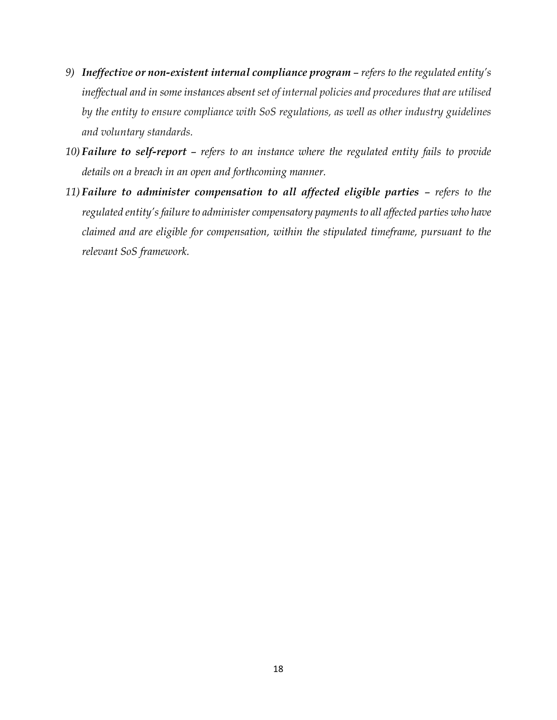- *9) Ineffective or non-existent internal compliance program refers to the regulated entity's ineffectual and in some instances absent set of internal policies and procedures that are utilised by the entity to ensure compliance with SoS regulations, as well as other industry guidelines and voluntary standards.*
- *10) Failure to self-report refers to an instance where the regulated entity fails to provide details on a breach in an open and forthcoming manner.*
- *11)* **Failure to administer compensation to all affected eligible parties refers to the** *regulated entity's failure to administer compensatory payments to all affected parties who have claimed and are eligible for compensation, within the stipulated timeframe, pursuant to the relevant SoS framework.*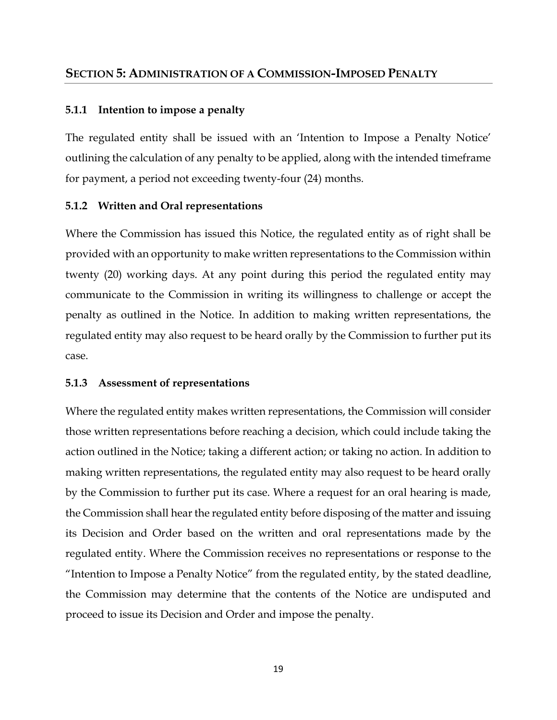## <span id="page-18-1"></span><span id="page-18-0"></span>**5.1.1 Intention to impose a penalty**

The regulated entity shall be issued with an 'Intention to Impose a Penalty Notice' outlining the calculation of any penalty to be applied, along with the intended timeframe for payment, a period not exceeding twenty-four (24) months.

## <span id="page-18-2"></span>**5.1.2 Written and Oral representations**

Where the Commission has issued this Notice, the regulated entity as of right shall be provided with an opportunity to make written representations to the Commission within twenty (20) working days. At any point during this period the regulated entity may communicate to the Commission in writing its willingness to challenge or accept the penalty as outlined in the Notice. In addition to making written representations, the regulated entity may also request to be heard orally by the Commission to further put its case.

## <span id="page-18-3"></span>**5.1.3 Assessment of representations**

Where the regulated entity makes written representations, the Commission will consider those written representations before reaching a decision, which could include taking the action outlined in the Notice; taking a different action; or taking no action. In addition to making written representations, the regulated entity may also request to be heard orally by the Commission to further put its case. Where a request for an oral hearing is made, the Commission shall hear the regulated entity before disposing of the matter and issuing its Decision and Order based on the written and oral representations made by the regulated entity. Where the Commission receives no representations or response to the "Intention to Impose a Penalty Notice" from the regulated entity, by the stated deadline, the Commission may determine that the contents of the Notice are undisputed and proceed to issue its Decision and Order and impose the penalty.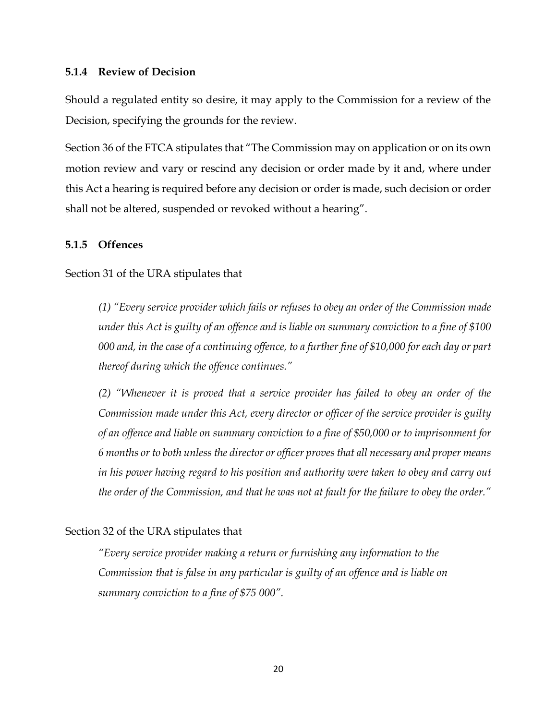## <span id="page-19-0"></span>**5.1.4 Review of Decision**

Should a regulated entity so desire, it may apply to the Commission for a review of the Decision, specifying the grounds for the review.

Section 36 of the FTCA stipulates that "The Commission may on application or on its own motion review and vary or rescind any decision or order made by it and, where under this Act a hearing is required before any decision or order is made, such decision or order shall not be altered, suspended or revoked without a hearing".

## <span id="page-19-1"></span>**5.1.5 Offences**

Section 31 of the URA stipulates that

*(1) "Every service provider which fails or refuses to obey an order of the Commission made under this Act is guilty of an offence and is liable on summary conviction to a fine of \$100 000 and, in the case of a continuing offence, to a further fine of \$10,000 for each day or part thereof during which the offence continues."* 

*(2) "Whenever it is proved that a service provider has failed to obey an order of the Commission made under this Act, every director or officer of the service provider is guilty of an offence and liable on summary conviction to a fine of \$50,000 or to imprisonment for 6 months or to both unless the director or officer proves that all necessary and proper means in his power having regard to his position and authority were taken to obey and carry out the order of the Commission, and that he was not at fault for the failure to obey the order."*

## Section 32 of the URA stipulates that

*"Every service provider making a return or furnishing any information to the Commission that is false in any particular is guilty of an offence and is liable on summary conviction to a fine of \$75 000".*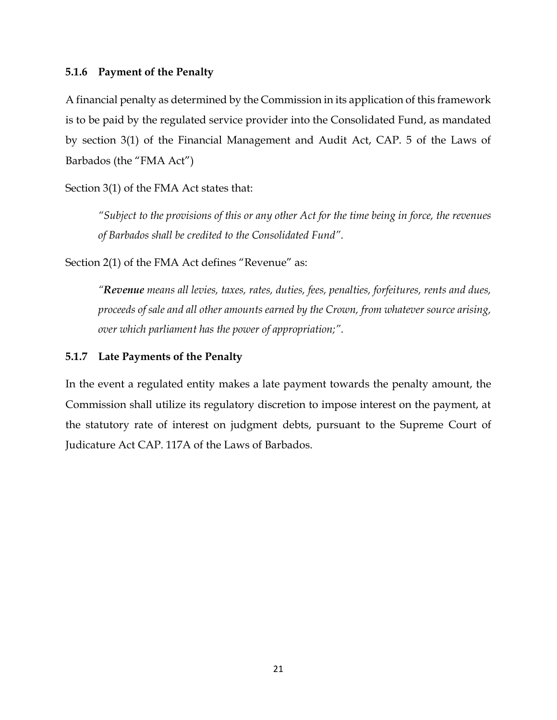## <span id="page-20-0"></span>**5.1.6 Payment of the Penalty**

A financial penalty as determined by the Commission in its application of this framework is to be paid by the regulated service provider into the Consolidated Fund, as mandated by section 3(1) of the Financial Management and Audit Act, CAP. 5 of the Laws of Barbados (the "FMA Act")

Section 3(1) of the FMA Act states that:

*"Subject to the provisions of this or any other Act for the time being in force, the revenues of Barbados shall be credited to the Consolidated Fund".*

Section 2(1) of the FMA Act defines "Revenue" as:

*"Revenue means all levies, taxes, rates, duties, fees, penalties, forfeitures, rents and dues, proceeds of sale and all other amounts earned by the Crown, from whatever source arising, over which parliament has the power of appropriation;".*

## <span id="page-20-1"></span>**5.1.7 Late Payments of the Penalty**

In the event a regulated entity makes a late payment towards the penalty amount, the Commission shall utilize its regulatory discretion to impose interest on the payment, at the statutory rate of interest on judgment debts, pursuant to the Supreme Court of Judicature Act CAP. 117A of the Laws of Barbados.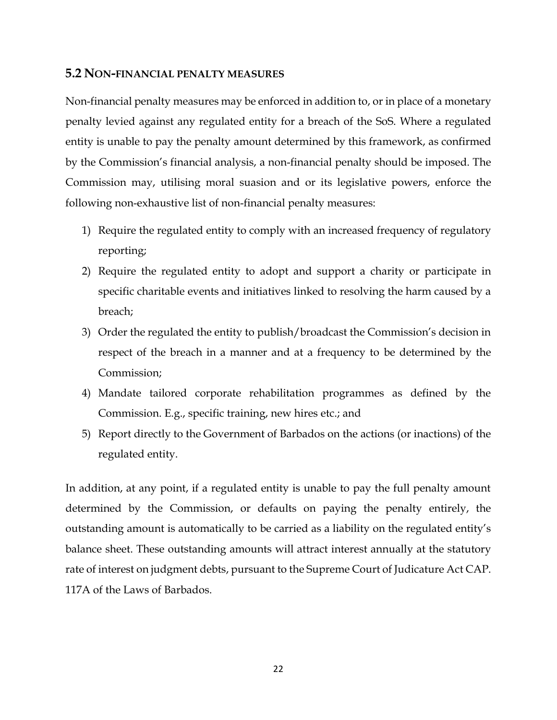### <span id="page-21-0"></span>**5.2 NON-FINANCIAL PENALTY MEASURES**

Non-financial penalty measures may be enforced in addition to, or in place of a monetary penalty levied against any regulated entity for a breach of the SoS. Where a regulated entity is unable to pay the penalty amount determined by this framework, as confirmed by the Commission's financial analysis, a non-financial penalty should be imposed. The Commission may, utilising moral suasion and or its legislative powers, enforce the following non-exhaustive list of non-financial penalty measures:

- 1) Require the regulated entity to comply with an increased frequency of regulatory reporting;
- 2) Require the regulated entity to adopt and support a charity or participate in specific charitable events and initiatives linked to resolving the harm caused by a breach;
- 3) Order the regulated the entity to publish/broadcast the Commission's decision in respect of the breach in a manner and at a frequency to be determined by the Commission;
- 4) Mandate tailored corporate rehabilitation programmes as defined by the Commission. E.g., specific training, new hires etc.; and
- 5) Report directly to the Government of Barbados on the actions (or inactions) of the regulated entity.

In addition, at any point, if a regulated entity is unable to pay the full penalty amount determined by the Commission, or defaults on paying the penalty entirely, the outstanding amount is automatically to be carried as a liability on the regulated entity's balance sheet. These outstanding amounts will attract interest annually at the statutory rate of interest on judgment debts, pursuant to the Supreme Court of Judicature Act CAP. 117A of the Laws of Barbados.